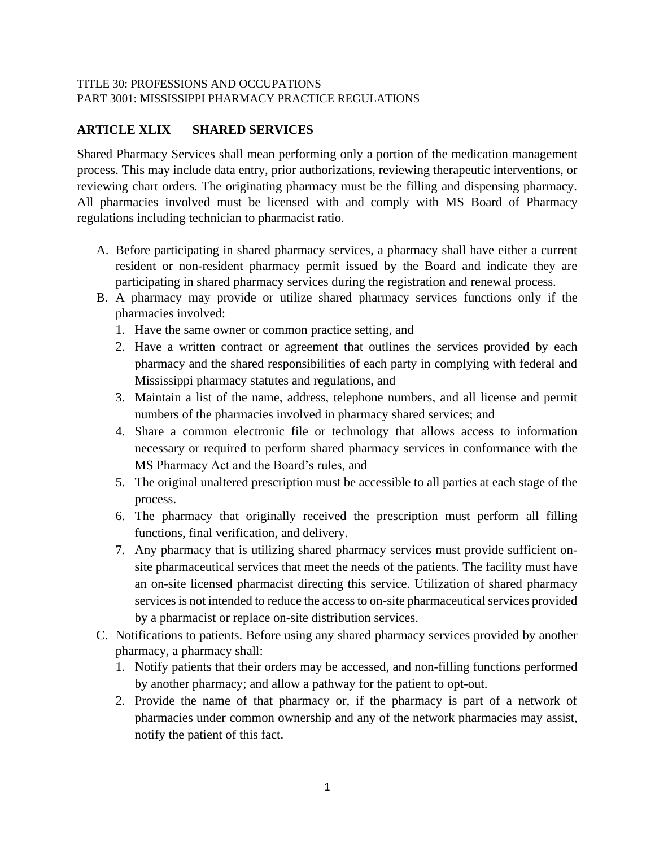## TITLE 30: PROFESSIONS AND OCCUPATIONS PART 3001: MISSISSIPPI PHARMACY PRACTICE REGULATIONS

## **ARTICLE XLIX SHARED SERVICES**

Shared Pharmacy Services shall mean performing only a portion of the medication management process. This may include data entry, prior authorizations, reviewing therapeutic interventions, or reviewing chart orders. The originating pharmacy must be the filling and dispensing pharmacy. All pharmacies involved must be licensed with and comply with MS Board of Pharmacy regulations including technician to pharmacist ratio.

- A. Before participating in shared pharmacy services, a pharmacy shall have either a current resident or non-resident pharmacy permit issued by the Board and indicate they are participating in shared pharmacy services during the registration and renewal process.
- B. A pharmacy may provide or utilize shared pharmacy services functions only if the pharmacies involved:
	- 1. Have the same owner or common practice setting, and
	- 2. Have a written contract or agreement that outlines the services provided by each pharmacy and the shared responsibilities of each party in complying with federal and Mississippi pharmacy statutes and regulations, and
	- 3. Maintain a list of the name, address, telephone numbers, and all license and permit numbers of the pharmacies involved in pharmacy shared services; and
	- 4. Share a common electronic file or technology that allows access to information necessary or required to perform shared pharmacy services in conformance with the MS Pharmacy Act and the Board's rules, and
	- 5. The original unaltered prescription must be accessible to all parties at each stage of the process.
	- 6. The pharmacy that originally received the prescription must perform all filling functions, final verification, and delivery.
	- 7. Any pharmacy that is utilizing shared pharmacy services must provide sufficient onsite pharmaceutical services that meet the needs of the patients. The facility must have an on-site licensed pharmacist directing this service. Utilization of shared pharmacy services is not intended to reduce the access to on-site pharmaceutical services provided by a pharmacist or replace on-site distribution services.
- C. Notifications to patients. Before using any shared pharmacy services provided by another pharmacy, a pharmacy shall:
	- 1. Notify patients that their orders may be accessed, and non-filling functions performed by another pharmacy; and allow a pathway for the patient to opt-out.
	- 2. Provide the name of that pharmacy or, if the pharmacy is part of a network of pharmacies under common ownership and any of the network pharmacies may assist, notify the patient of this fact.